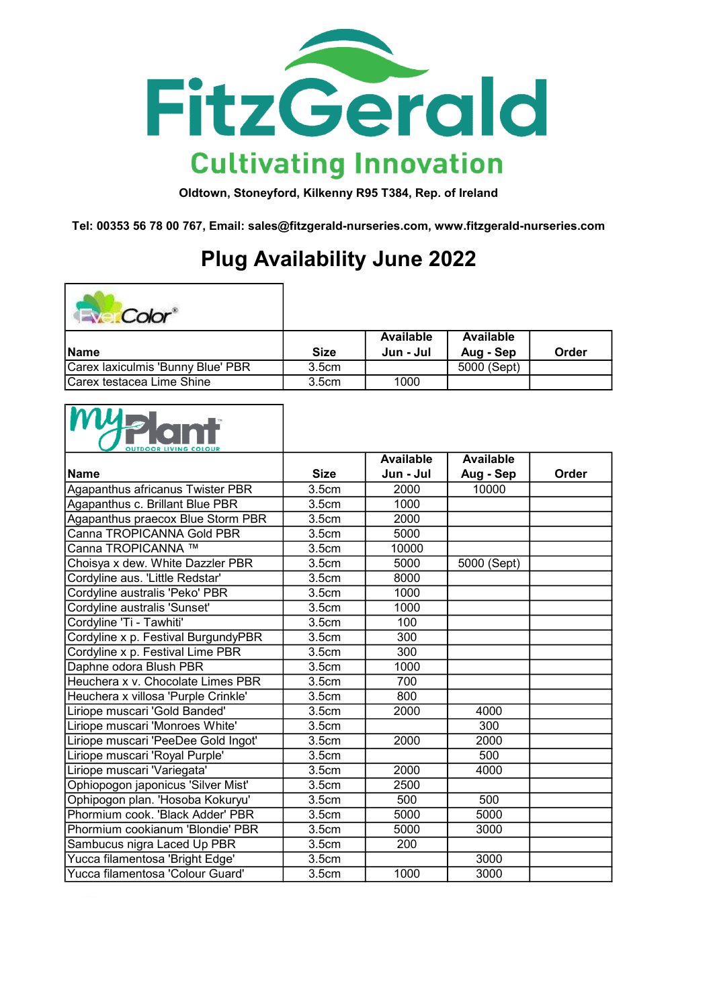

Oldtown, Stoneyford, Kilkenny R95 T384, Rep. of Ireland

Tel: 00353 56 78 00 767, Email: sales@fitzgerald-nurseries.com, www.fitzgerald-nurseries.com

## Plug Availability June 2022

|                                   |             | <b>Available</b> | Available   |       |
|-----------------------------------|-------------|------------------|-------------|-------|
| <b>Name</b>                       | <b>Size</b> | Jun - Jul        | Aug - Sep   | Order |
| Carex laxiculmis 'Bunny Blue' PBR | 3.5cm       |                  | 5000 (Sept) |       |
| Carex testacea Lime Shine         | 3.5cm       | 1000             |             |       |



|                                     |       | <b>Available</b> | <b>Available</b> |       |
|-------------------------------------|-------|------------------|------------------|-------|
| Name                                | Size  | Jun - Jul        | Aug - Sep        | Order |
| Agapanthus africanus Twister PBR    | 3.5cm | 2000             | 10000            |       |
| Agapanthus c. Brillant Blue PBR     | 3.5cm | 1000             |                  |       |
| Agapanthus praecox Blue Storm PBR   | 3.5cm | 2000             |                  |       |
| Canna TROPICANNA Gold PBR           | 3.5cm | 5000             |                  |       |
| Canna TROPICANNA ™                  | 3.5cm | 10000            |                  |       |
| Choisya x dew. White Dazzler PBR    | 3.5cm | 5000             | $5000$ (Sept)    |       |
| Cordyline aus. 'Little Redstar'     | 3.5cm | 8000             |                  |       |
| Cordyline australis 'Peko' PBR      | 3.5cm | 1000             |                  |       |
| Cordyline australis 'Sunset'        | 3.5cm | 1000             |                  |       |
| Cordyline 'Ti - Tawhiti'            | 3.5cm | 100              |                  |       |
| Cordyline x p. Festival BurgundyPBR | 3.5cm | 300              |                  |       |
| Cordyline x p. Festival Lime PBR    | 3.5cm | 300              |                  |       |
| Daphne odora Blush PBR              | 3.5cm | 1000             |                  |       |
| Heuchera x v. Chocolate Limes PBR   | 3.5cm | 700              |                  |       |
| Heuchera x villosa 'Purple Crinkle' | 3.5cm | 800              |                  |       |
| Liriope muscari 'Gold Banded'       | 3.5cm | 2000             | 4000             |       |
| Liriope muscari 'Monroes White'     | 3.5cm |                  | 300              |       |
| Liriope muscari 'PeeDee Gold Ingot' | 3.5cm | 2000             | 2000             |       |
| Liriope muscari 'Royal Purple'      | 3.5cm |                  | 500              |       |
| Liriope muscari 'Variegata'         | 3.5cm | 2000             | 4000             |       |
| Ophiopogon japonicus 'Silver Mist'  | 3.5cm | 2500             |                  |       |
| Ophipogon plan. 'Hosoba Kokuryu'    | 3.5cm | 500              | 500              |       |
| Phormium cook. 'Black Adder' PBR    | 3.5cm | 5000             | 5000             |       |
| Phormium cookianum 'Blondie' PBR    | 3.5cm | 5000             | 3000             |       |
| Sambucus nigra Laced Up PBR         | 3.5cm | 200              |                  |       |
| Yucca filamentosa 'Bright Edge'     | 3.5cm |                  | 3000             |       |
| Yucca filamentosa 'Colour Guard'    | 3.5cm | 1000             | 3000             |       |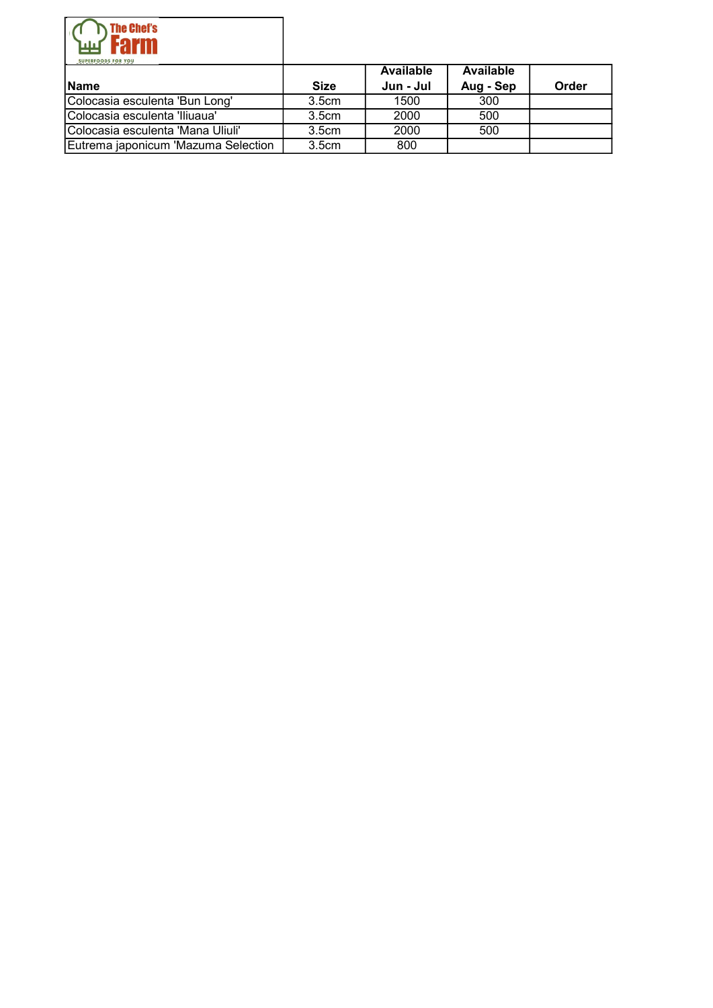| <b>The Chef's</b><br><b>Farm</b><br>ਸਿੰਗ੍<br><b>SUPERFOODS FOR YOU</b> |             |           |           |       |
|------------------------------------------------------------------------|-------------|-----------|-----------|-------|
|                                                                        |             | Available | Available |       |
| <b>Name</b>                                                            | <b>Size</b> | Jun - Jul | Aug - Sep | Order |
| Colocasia esculenta 'Bun Long'                                         | 3.5cm       | 1500      | 300       |       |
| Colocasia esculenta 'Iliuaua'                                          | 3.5cm       | 2000      | 500       |       |
| Colocasia esculenta 'Mana Uliuli'                                      | 3.5cm       | 2000      | 500       |       |
| Eutrema japonicum 'Mazuma Selection                                    | 3.5cm       | 800       |           |       |